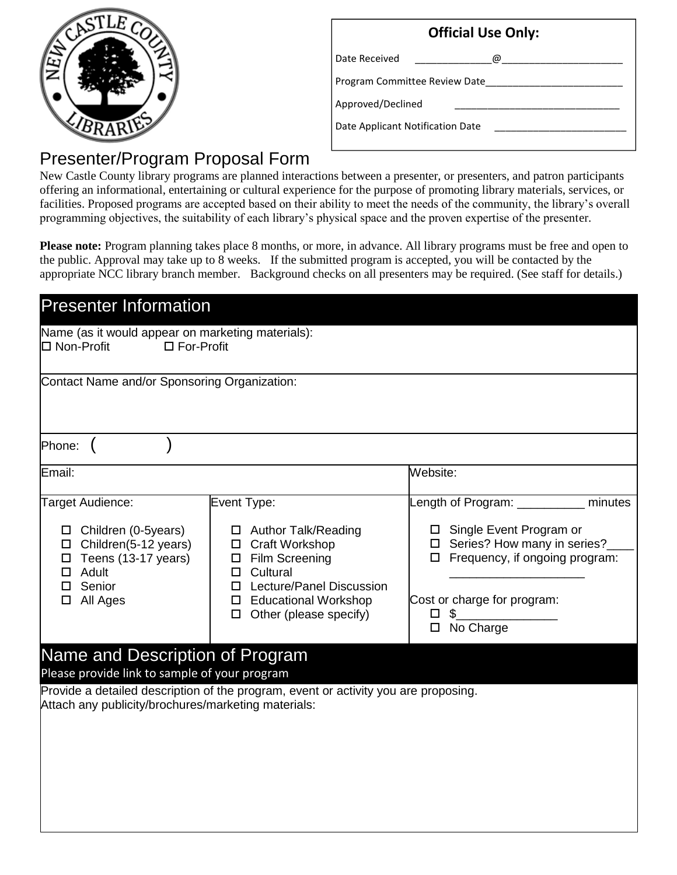

| <b>Official Use Only:</b>        |   |  |
|----------------------------------|---|--|
| Date Received                    | ω |  |
| Program Committee Review Date    |   |  |
| Approved/Declined                |   |  |
| Date Applicant Notification Date |   |  |
|                                  |   |  |

## Presenter/Program Proposal Form

New Castle County library programs are planned interactions between a presenter, or presenters, and patron participants offering an informational, entertaining or cultural experience for the purpose of promoting library materials, services, or facilities. Proposed programs are accepted based on their ability to meet the needs of the community, the library's overall programming objectives, the suitability of each library's physical space and the proven expertise of the presenter.

Please note: Program planning takes place 8 months, or more, in advance. All library programs must be free and open to the public. Approval may take up to 8 weeks. If the submitted program is accepted, you will be contacted by the appropriate NCC library branch member. Background checks on all presenters may be required. (See staff for details.)

| <b>Presenter Information</b>                                                                                                                                                                                                   |                                                                                                                                                                                              |                                                                                                                                                                                                                  |  |
|--------------------------------------------------------------------------------------------------------------------------------------------------------------------------------------------------------------------------------|----------------------------------------------------------------------------------------------------------------------------------------------------------------------------------------------|------------------------------------------------------------------------------------------------------------------------------------------------------------------------------------------------------------------|--|
| Name (as it would appear on marketing materials):<br>$\Box$ For-Profit<br><b>□</b> Non-Profit                                                                                                                                  |                                                                                                                                                                                              |                                                                                                                                                                                                                  |  |
| Contact Name and/or Sponsoring Organization:                                                                                                                                                                                   |                                                                                                                                                                                              |                                                                                                                                                                                                                  |  |
| Phone:                                                                                                                                                                                                                         |                                                                                                                                                                                              |                                                                                                                                                                                                                  |  |
| Email:                                                                                                                                                                                                                         |                                                                                                                                                                                              | Website:                                                                                                                                                                                                         |  |
| Target Audience:<br>$\Box$ Children (0-5years)<br>$\Box$ Children(5-12 years)<br>Teens (13-17 years)<br>$\Box$<br>$\Box$ Adult<br>Senior<br>$\Box$<br>$\Box$ All Ages                                                          | Event Type:<br>□ Author Talk/Reading<br>□ Craft Workshop<br>□ Film Screening<br>$\Box$ Cultural<br><b>Lecture/Panel Discussion</b><br>П.<br>□ Educational Workshop<br>Other (please specify) | Length of Program: __________<br>minutes<br>$\Box$ Single Event Program or<br>□ Series? How many in series?<br>$\Box$ Frequency, if ongoing program:<br>Cost or charge for program:<br>\$<br>□<br>No Charge<br>□ |  |
| Name and Description of Program<br>Please provide link to sample of your program<br>Provide a detailed description of the program, event or activity you are proposing.<br>Attach any publicity/brochures/marketing materials: |                                                                                                                                                                                              |                                                                                                                                                                                                                  |  |
|                                                                                                                                                                                                                                |                                                                                                                                                                                              |                                                                                                                                                                                                                  |  |